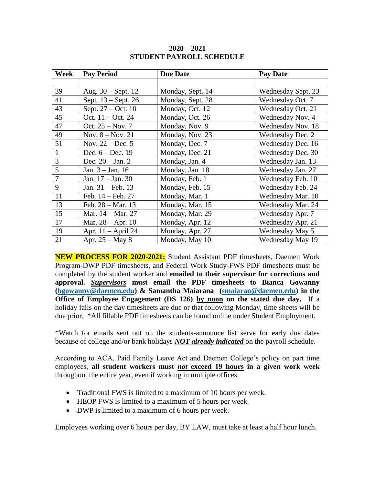| Week         | <b>Pay Period</b>           | <b>Due Date</b>  | <b>Pay Date</b>    |
|--------------|-----------------------------|------------------|--------------------|
|              |                             |                  |                    |
| 39           | Aug. $30 -$ Sept. 12        | Monday, Sept. 14 | Wednesday Sept. 23 |
| 41           | Sept. 13 – Sept. 26         | Monday, Sept. 28 | Wednesday Oct. 7   |
| 43           | Sept. 27 – Oct. 10          | Monday, Oct. 12  | Wednesday Oct. 21  |
| 45           | Oct. 11 - Oct. 24           | Monday, Oct. 26  | Wednesday Nov. 4   |
| 47           | Oct. $25 - Nov. 7$          | Monday, Nov. 9   | Wednesday Nov. 18  |
| 49           | Nov. $8 - Nov. 21$          | Monday, Nov. 23  | Wednesday Dec. 2   |
| 51           | Nov. $22 - Dec.5$           | Monday, Dec. 7   | Wednesday Dec. 16  |
| $\mathbf{1}$ | Dec. $6 - Dec. 19$          | Monday, Dec. 21  | Wednesday Dec. 30  |
| 3            | Dec. $20 - Jan. 2$          | Monday, Jan. 4   | Wednesday Jan. 13  |
| 5            | Jan. $3 -$ Jan. 16          | Monday, Jan. 18  | Wednesday Jan. 27  |
| 7            | Jan. 17 - Jan. 30           | Monday, Feb. 1   | Wednesday Feb. 10  |
| 9            | Jan. $31 - \text{Feb. } 13$ | Monday, Feb. 15  | Wednesday Feb. 24  |
| 11           | Feb. $14 - \text{Feb. } 27$ | Monday, Mar. 1   | Wednesday Mar. 10  |
| 13           | Feb. $28 - Mar. 13$         | Monday, Mar. 15  | Wednesday Mar. 24  |
| 15           | Mar. 14 – Mar. 27           | Monday, Mar. 29  | Wednesday Apr. 7   |
| 17           | Mar. $28 - Apr. 10$         | Monday, Apr. 12  | Wednesday Apr. 21  |
| 19           | Apr. 11 - April 24          | Monday, Apr. 27  | Wednesday May 5    |
| 21           | Apr. $25 - May 8$           | Monday, May 10   | Wednesday May 19   |

## **2020 – 2021 STUDENT PAYROLL SCHEDULE**

**NEW PROCESS FOR 2020-2021:** Student Assistant PDF timesheets, Daemen Work Program-DWP PDF timesheets, and Federal Work Study-FWS PDF timesheets must be completed by the student worker and **emailed to their supervisor for corrections and approval.** *Supervisors* **must email the PDF timesheets to Bianca Gowanny [\(bgowanny@daemen.edu\)](mailto:bgowanny@daemen.edu) & Samantha Maiarana [\(smaiaran@daemen.edu\)](mailto:smaiaran@daemen.edu) in the Office of Employee Engagement (DS 126) by noon on the stated due day.** If a holiday falls on the day timesheets are due or that following Monday, time sheets will be due prior. \*All fillable PDF timesheets can be found online under Student Employment.

\*Watch for emails sent out on the students-announce list serve for early due dates because of college and/or bank holidays *NOT already indicated* on the payroll schedule.

According to ACA, Paid Family Leave Act and Daemen College's policy on part time employees, **all student workers must** *not* **exceed 19 hours in a given work week** throughout the entire year, even if working in multiple offices.

- Traditional FWS is limited to a maximum of 10 hours per week.
- HEOP FWS is limited to a maximum of 5 hours per week.
- DWP is limited to a maximum of 6 hours per week.

Employees working over 6 hours per day, BY LAW, must take at least a half hour lunch.